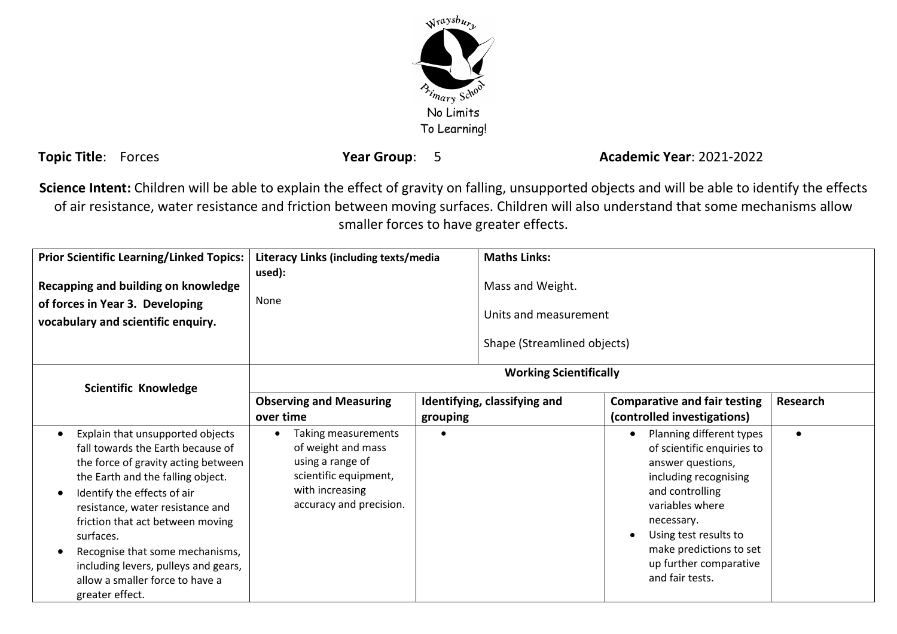

**Topic Title**: Forces **Year Group**: 5 **Academic Year**: 2021-2022

**Science Intent:** Children will be able to explain the effect of gravity on falling, unsupported objects and will be able to identify the effects of air resistance, water resistance and friction between moving surfaces. Children will also understand that some mechanisms allow smaller forces to have greater effects.

| <b>Prior Scientific Learning/Linked Topics:</b>                                                                                                                                                                                                                                                                                                                                                        | Literacy Links (including texts/media                                                                                                |          | <b>Maths Links:</b>                                                      |                                                                                                                                                                                                                                                           |           |
|--------------------------------------------------------------------------------------------------------------------------------------------------------------------------------------------------------------------------------------------------------------------------------------------------------------------------------------------------------------------------------------------------------|--------------------------------------------------------------------------------------------------------------------------------------|----------|--------------------------------------------------------------------------|-----------------------------------------------------------------------------------------------------------------------------------------------------------------------------------------------------------------------------------------------------------|-----------|
| Recapping and building on knowledge<br>of forces in Year 3. Developing<br>vocabulary and scientific enquiry.                                                                                                                                                                                                                                                                                           | used):<br>None                                                                                                                       |          | Mass and Weight.<br>Units and measurement<br>Shape (Streamlined objects) |                                                                                                                                                                                                                                                           |           |
| <b>Scientific Knowledge</b>                                                                                                                                                                                                                                                                                                                                                                            | <b>Working Scientifically</b>                                                                                                        |          |                                                                          |                                                                                                                                                                                                                                                           |           |
|                                                                                                                                                                                                                                                                                                                                                                                                        | <b>Observing and Measuring</b><br>over time                                                                                          | grouping | Identifying, classifying and                                             | <b>Comparative and fair testing</b><br>(controlled investigations)                                                                                                                                                                                        | Research  |
| Explain that unsupported objects<br>fall towards the Earth because of<br>the force of gravity acting between<br>the Earth and the falling object.<br>Identify the effects of air<br>resistance, water resistance and<br>friction that act between moving<br>surfaces.<br>Recognise that some mechanisms,<br>including levers, pulleys and gears,<br>allow a smaller force to have a<br>greater effect. | Taking measurements<br>of weight and mass<br>using a range of<br>scientific equipment,<br>with increasing<br>accuracy and precision. |          |                                                                          | Planning different types<br>of scientific enquiries to<br>answer questions,<br>including recognising<br>and controlling<br>variables where<br>necessary.<br>Using test results to<br>make predictions to set<br>up further comparative<br>and fair tests. | $\bullet$ |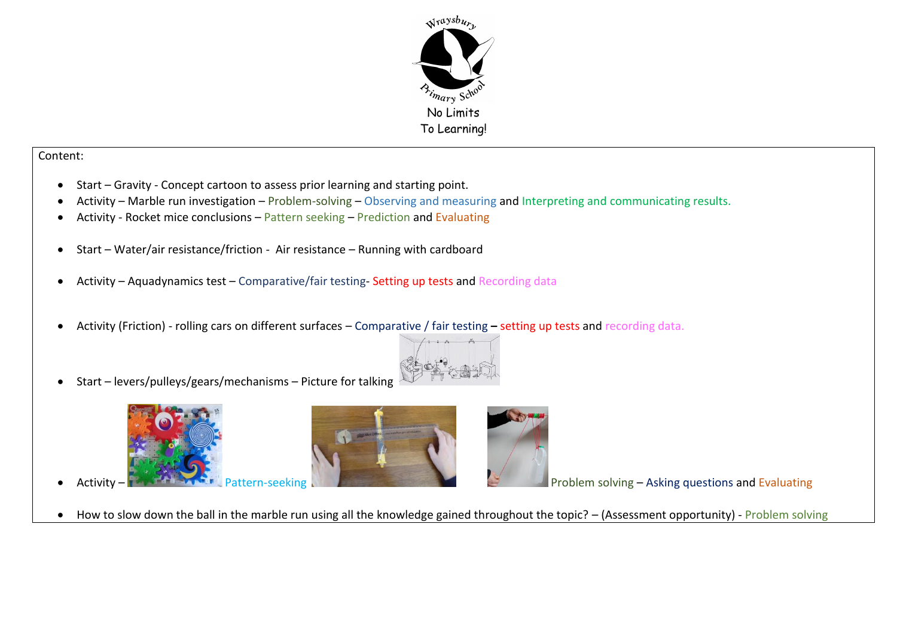

## Content:

- Start Gravity Concept cartoon to assess prior learning and starting point.
- Activity Marble run investigation Problem-solving Observing and measuring and Interpreting and communicating results.
- Activity Rocket mice conclusions Pattern seeking Prediction and Evaluating
- Start Water/air resistance/friction Air resistance Running with cardboard
- Activity Aquadynamics test Comparative/fair testing- Setting up tests and Recording data
- Activity (Friction) rolling cars on different surfaces Comparative / fair testing **–** setting up tests and recording data.



Start – levers/pulleys/gears/mechanisms – Picture for talking









Activity – Pattern-seeking Pattern-seeking Problem solving – Asking questions and Evaluating

• How to slow down the ball in the marble run using all the knowledge gained throughout the topic? – (Assessment opportunity) - Problem solving